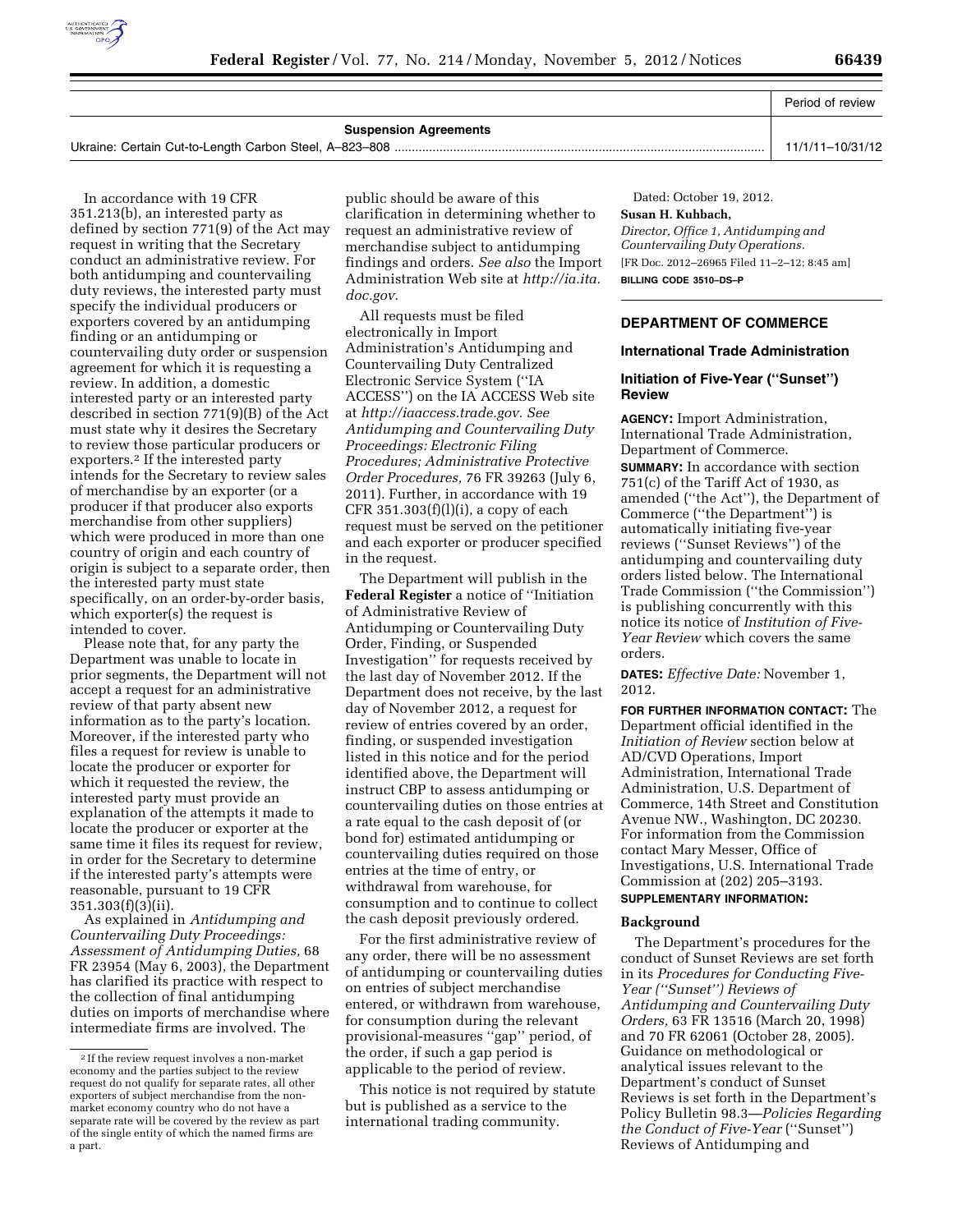

|                              | Period of review |
|------------------------------|------------------|
| <b>Suspension Agreements</b> |                  |
|                              | 11/1/11-10/31/12 |

In accordance with 19 CFR 351.213(b), an interested party as defined by section 771(9) of the Act may request in writing that the Secretary conduct an administrative review. For both antidumping and countervailing duty reviews, the interested party must specify the individual producers or exporters covered by an antidumping finding or an antidumping or countervailing duty order or suspension agreement for which it is requesting a review. In addition, a domestic interested party or an interested party described in section 771(9)(B) of the Act must state why it desires the Secretary to review those particular producers or exporters.2 If the interested party intends for the Secretary to review sales of merchandise by an exporter (or a producer if that producer also exports merchandise from other suppliers) which were produced in more than one country of origin and each country of origin is subject to a separate order, then the interested party must state specifically, on an order-by-order basis, which exporter(s) the request is intended to cover.

Please note that, for any party the Department was unable to locate in prior segments, the Department will not accept a request for an administrative review of that party absent new information as to the party's location. Moreover, if the interested party who files a request for review is unable to locate the producer or exporter for which it requested the review, the interested party must provide an explanation of the attempts it made to locate the producer or exporter at the same time it files its request for review, in order for the Secretary to determine if the interested party's attempts were reasonable, pursuant to 19 CFR 351.303(f)(3)(ii).

As explained in *Antidumping and Countervailing Duty Proceedings: Assessment of Antidumping Duties,* 68 FR 23954 (May 6, 2003), the Department has clarified its practice with respect to the collection of final antidumping duties on imports of merchandise where intermediate firms are involved. The

public should be aware of this clarification in determining whether to request an administrative review of merchandise subject to antidumping findings and orders. *See also* the Import Administration Web site at *[http://ia.ita.](http://ia.ita.doc.gov) [doc.gov.](http://ia.ita.doc.gov)* 

All requests must be filed electronically in Import Administration's Antidumping and Countervailing Duty Centralized Electronic Service System (''IA ACCESS'') on the IA ACCESS Web site at *[http://iaaccess.trade.gov.](http://iaaccess.trade.gov) See Antidumping and Countervailing Duty Proceedings: Electronic Filing Procedures; Administrative Protective Order Procedures,* 76 FR 39263 (July 6, 2011). Further, in accordance with 19 CFR  $351.303(f)(l)(i)$ , a copy of each request must be served on the petitioner and each exporter or producer specified in the request.

The Department will publish in the **Federal Register** a notice of ''Initiation of Administrative Review of Antidumping or Countervailing Duty Order, Finding, or Suspended Investigation'' for requests received by the last day of November 2012. If the Department does not receive, by the last day of November 2012, a request for review of entries covered by an order, finding, or suspended investigation listed in this notice and for the period identified above, the Department will instruct CBP to assess antidumping or countervailing duties on those entries at a rate equal to the cash deposit of (or bond for) estimated antidumping or countervailing duties required on those entries at the time of entry, or withdrawal from warehouse, for consumption and to continue to collect the cash deposit previously ordered.

For the first administrative review of any order, there will be no assessment of antidumping or countervailing duties on entries of subject merchandise entered, or withdrawn from warehouse, for consumption during the relevant provisional-measures ''gap'' period, of the order, if such a gap period is applicable to the period of review.

This notice is not required by statute but is published as a service to the international trading community.

Dated: October 19, 2012. **Susan H. Kuhbach,** 

*Director, Office 1, Antidumping and Countervailing Duty Operations.*  [FR Doc. 2012–26965 Filed 11–2–12; 8:45 am] **BILLING CODE 3510–DS–P** 

## **DEPARTMENT OF COMMERCE**

## **International Trade Administration**

### **Initiation of Five-Year (''Sunset'') Review**

**AGENCY:** Import Administration, International Trade Administration, Department of Commerce.

**SUMMARY:** In accordance with section 751(c) of the Tariff Act of 1930, as amended (''the Act''), the Department of Commerce (''the Department'') is automatically initiating five-year reviews (''Sunset Reviews'') of the antidumping and countervailing duty orders listed below. The International Trade Commission (''the Commission'') is publishing concurrently with this notice its notice of *Institution of Five-Year Review* which covers the same orders.

**DATES:** *Effective Date:* November 1, 2012.

**FOR FURTHER INFORMATION CONTACT:** The Department official identified in the *Initiation of Review* section below at AD/CVD Operations, Import Administration, International Trade Administration, U.S. Department of Commerce, 14th Street and Constitution Avenue NW., Washington, DC 20230. For information from the Commission contact Mary Messer, Office of Investigations, U.S. International Trade Commission at (202) 205–3193.

# **SUPPLEMENTARY INFORMATION:**

#### **Background**

The Department's procedures for the conduct of Sunset Reviews are set forth in its *Procedures for Conducting Five-Year (''Sunset'') Reviews of Antidumping and Countervailing Duty Orders,* 63 FR 13516 (March 20, 1998) and 70 FR 62061 (October 28, 2005). Guidance on methodological or analytical issues relevant to the Department's conduct of Sunset Reviews is set forth in the Department's Policy Bulletin 98.3—*Policies Regarding the Conduct of Five-Year* (''Sunset'') Reviews of Antidumping and

<sup>2</sup> If the review request involves a non-market economy and the parties subject to the review request do not qualify for separate rates, all other exporters of subject merchandise from the nonmarket economy country who do not have a separate rate will be covered by the review as part of the single entity of which the named firms are a part.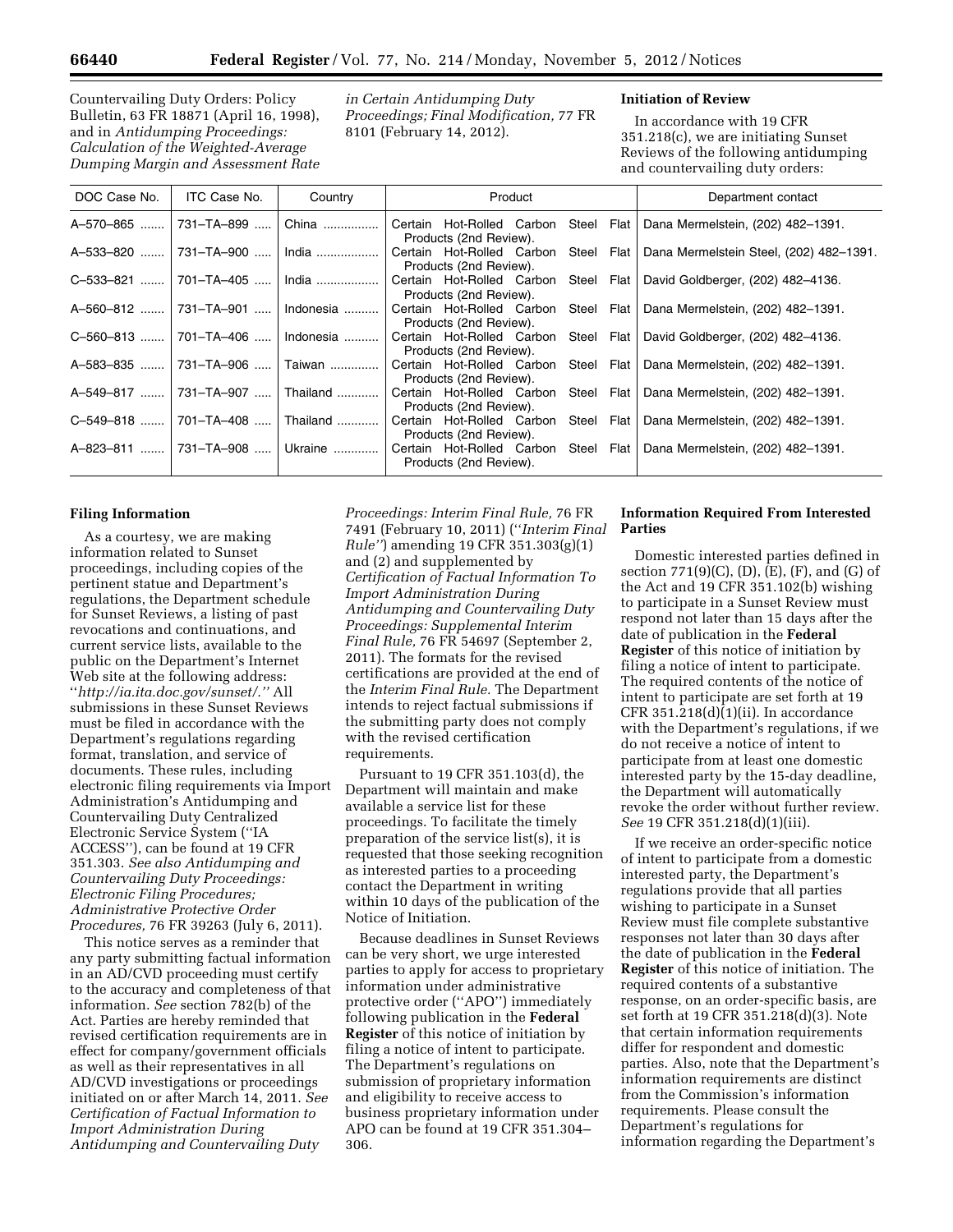Countervailing Duty Orders: Policy Bulletin, 63 FR 18871 (April 16, 1998), and in *Antidumping Proceedings: Calculation of the Weighted-Average Dumping Margin and Assessment Rate*  *in Certain Antidumping Duty Proceedings; Final Modification,* 77 FR 8101 (February 14, 2012).

# **Initiation of Review**

In accordance with 19 CFR 351.218(c), we are initiating Sunset Reviews of the following antidumping and countervailing duty orders:

| DOC Case No. | ITC Case No.        | Country   | Product                                                           | Department contact                                   |
|--------------|---------------------|-----------|-------------------------------------------------------------------|------------------------------------------------------|
| A-570-865    | 731-TA-899          | China     | Steel Flat<br>Certain Hot-Rolled Carbon<br>Products (2nd Review). | Dana Mermelstein, (202) 482-1391.                    |
| A-533-820    | 731-TA-900          | India     | Certain Hot-Rolled Carbon<br>Products (2nd Review).               | Steel Flat   Dana Mermelstein Steel, (202) 482-1391. |
| C-533-821    | 701-TA-405    India |           | Certain Hot-Rolled Carbon<br>Products (2nd Review).               | Steel Flat   David Goldberger, (202) 482-4136.       |
| A-560-812    | 731–TA–901          | Indonesia | Certain Hot-Rolled Carbon<br>Products (2nd Review).               | Steel Flat   Dana Mermelstein, (202) 482-1391.       |
| C-560-813    | 701-TA-406          | Indonesia | Certain Hot-Rolled Carbon<br>Products (2nd Review).               | Steel Flat   David Goldberger, (202) 482-4136.       |
| A-583-835    | 731–TA–906          | Taiwan    | Certain Hot-Rolled Carbon<br>Products (2nd Review).               | Steel Flat   Dana Mermelstein, (202) 482-1391.       |
| A-549-817    | 731-TA-907          | Thailand  | Certain Hot-Rolled Carbon<br>Steel<br>Products (2nd Review).      | Flat I<br>Dana Mermelstein, (202) 482-1391.          |
| C-549-818    | 701-TA-408          | Thailand  | Certain Hot-Rolled Carbon<br>Products (2nd Review).               | Steel Flat   Dana Mermelstein, (202) 482-1391.       |
| A-823-811    | 731–TA–908 …        | Ukraine   | Certain Hot-Rolled Carbon<br>Products (2nd Review).               | Steel Flat   Dana Mermelstein, (202) 482-1391.       |

### **Filing Information**

As a courtesy, we are making information related to Sunset proceedings, including copies of the pertinent statue and Department's regulations, the Department schedule for Sunset Reviews, a listing of past revocations and continuations, and current service lists, available to the public on the Department's Internet Web site at the following address: ''*[http://ia.ita.doc.gov/sunset/.''](http://ia.ita.doc.gov/sunset/)* All submissions in these Sunset Reviews must be filed in accordance with the Department's regulations regarding format, translation, and service of documents. These rules, including electronic filing requirements via Import Administration's Antidumping and Countervailing Duty Centralized Electronic Service System (''IA ACCESS''), can be found at 19 CFR 351.303. *See also Antidumping and Countervailing Duty Proceedings: Electronic Filing Procedures; Administrative Protective Order Procedures,* 76 FR 39263 (July 6, 2011).

This notice serves as a reminder that any party submitting factual information in an AD/CVD proceeding must certify to the accuracy and completeness of that information. *See* section 782(b) of the Act. Parties are hereby reminded that revised certification requirements are in effect for company/government officials as well as their representatives in all AD/CVD investigations or proceedings initiated on or after March 14, 2011. *See Certification of Factual Information to Import Administration During Antidumping and Countervailing Duty* 

*Proceedings: Interim Final Rule,* 76 FR 7491 (February 10, 2011) (''*Interim Final Rule''*) amending 19 CFR 351.303(g)(1) and (2) and supplemented by *Certification of Factual Information To Import Administration During Antidumping and Countervailing Duty Proceedings: Supplemental Interim Final Rule,* 76 FR 54697 (September 2, 2011). The formats for the revised certifications are provided at the end of the *Interim Final Rule.* The Department intends to reject factual submissions if the submitting party does not comply with the revised certification requirements.

Pursuant to 19 CFR 351.103(d), the Department will maintain and make available a service list for these proceedings. To facilitate the timely preparation of the service list(s), it is requested that those seeking recognition as interested parties to a proceeding contact the Department in writing within 10 days of the publication of the Notice of Initiation.

Because deadlines in Sunset Reviews can be very short, we urge interested parties to apply for access to proprietary information under administrative protective order (''APO'') immediately following publication in the **Federal Register** of this notice of initiation by filing a notice of intent to participate. The Department's regulations on submission of proprietary information and eligibility to receive access to business proprietary information under APO can be found at 19 CFR 351.304– 306.

### **Information Required From Interested Parties**

Domestic interested parties defined in section  $771(9)(C)$ ,  $(D)$ ,  $(E)$ ,  $(F)$ , and  $(G)$  of the Act and 19 CFR 351.102(b) wishing to participate in a Sunset Review must respond not later than 15 days after the date of publication in the **Federal Register** of this notice of initiation by filing a notice of intent to participate. The required contents of the notice of intent to participate are set forth at 19 CFR  $351.218(d)(1)(ii)$ . In accordance with the Department's regulations, if we do not receive a notice of intent to participate from at least one domestic interested party by the 15-day deadline, the Department will automatically revoke the order without further review. *See* 19 CFR 351.218(d)(1)(iii).

If we receive an order-specific notice of intent to participate from a domestic interested party, the Department's regulations provide that all parties wishing to participate in a Sunset Review must file complete substantive responses not later than 30 days after the date of publication in the **Federal Register** of this notice of initiation. The required contents of a substantive response, on an order-specific basis, are set forth at 19 CFR 351.218(d)(3). Note that certain information requirements differ for respondent and domestic parties. Also, note that the Department's information requirements are distinct from the Commission's information requirements. Please consult the Department's regulations for information regarding the Department's